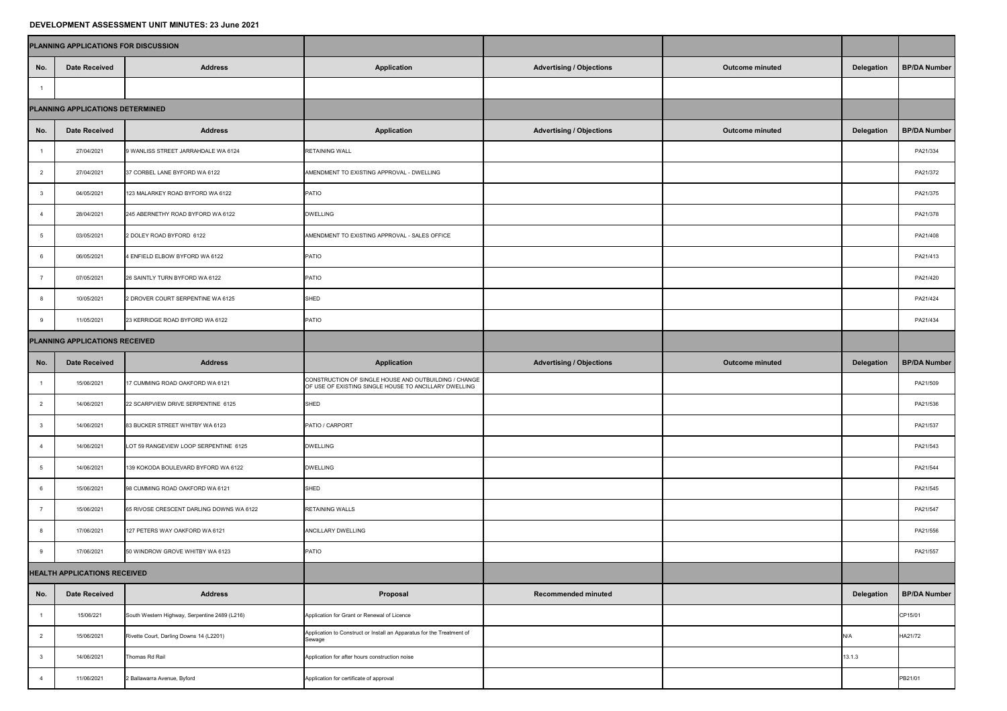## **DEVELOPMENT ASSESSMENT UNIT MINUTES: 23 June 2021**

|                                     | PLANNING APPLICATIONS FOR DISCUSSION |                                               |                                                                                                                |                                 |                        |                   |                     |
|-------------------------------------|--------------------------------------|-----------------------------------------------|----------------------------------------------------------------------------------------------------------------|---------------------------------|------------------------|-------------------|---------------------|
| No.                                 | <b>Date Received</b>                 | <b>Address</b>                                | <b>Application</b>                                                                                             | <b>Advertising / Objections</b> | <b>Outcome minuted</b> | <b>Delegation</b> | <b>BP/DA Number</b> |
|                                     |                                      |                                               |                                                                                                                |                                 |                        |                   |                     |
| PLANNING APPLICATIONS DETERMINED    |                                      |                                               |                                                                                                                |                                 |                        |                   |                     |
| No.                                 | <b>Date Received</b>                 | <b>Address</b>                                | <b>Application</b>                                                                                             | <b>Advertising / Objections</b> | <b>Outcome minuted</b> | <b>Delegation</b> | <b>BP/DA Number</b> |
|                                     | 27/04/2021                           | 9 WANLISS STREET JARRAHDALE WA 6124           | <b>RETAINING WALL</b>                                                                                          |                                 |                        |                   | PA21/334            |
| $\overline{2}$                      | 27/04/2021                           | 37 CORBEL LANE BYFORD WA 6122                 | AMENDMENT TO EXISTING APPROVAL - DWELLING                                                                      |                                 |                        | PA21/372          |                     |
|                                     | 04/05/2021                           | 123 MALARKEY ROAD BYFORD WA 6122              | PATIO                                                                                                          |                                 |                        |                   | PA21/375            |
|                                     | 28/04/2021                           | 245 ABERNETHY ROAD BYFORD WA 6122             | <b>DWELLING</b>                                                                                                |                                 |                        |                   | PA21/378            |
|                                     | 03/05/2021                           | 2 DOLEY ROAD BYFORD 6122                      | AMENDMENT TO EXISTING APPROVAL - SALES OFFICE                                                                  |                                 |                        | PA21/408          |                     |
|                                     | 06/05/2021                           | 4 ENFIELD ELBOW BYFORD WA 6122                | PATIO                                                                                                          |                                 |                        | PA21/413          |                     |
|                                     | 07/05/2021                           | 26 SAINTLY TURN BYFORD WA 6122                | PATIO                                                                                                          |                                 |                        |                   | PA21/420            |
|                                     | 10/05/2021                           | 2 DROVER COURT SERPENTINE WA 6125             | SHED                                                                                                           |                                 |                        |                   | PA21/424            |
|                                     | 11/05/2021                           | 23 KERRIDGE ROAD BYFORD WA 6122               | PATIO                                                                                                          |                                 |                        |                   | PA21/434            |
| PLANNING APPLICATIONS RECEIVED      |                                      |                                               |                                                                                                                |                                 |                        |                   |                     |
| No.                                 | <b>Date Received</b>                 | <b>Address</b>                                | <b>Application</b>                                                                                             | <b>Advertising / Objections</b> | <b>Outcome minuted</b> | <b>Delegation</b> | <b>BP/DA Number</b> |
|                                     | 15/06/2021                           | 17 CUMMING ROAD OAKFORD WA 6121               | CONSTRUCTION OF SINGLE HOUSE AND OUTBUILDING / CHANGE<br>OF USE OF EXISTING SINGLE HOUSE TO ANCILLARY DWELLING |                                 |                        |                   | PA21/509            |
| $\overline{2}$                      | 14/06/2021                           | 22 SCARPVIEW DRIVE SERPENTINE 6125            | SHED                                                                                                           |                                 |                        | PA21/536          |                     |
|                                     | 14/06/2021                           | 83 BUCKER STREET WHITBY WA 6123               | PATIO / CARPORT                                                                                                |                                 |                        | PA21/537          |                     |
|                                     | 14/06/2021                           | LOT 59 RANGEVIEW LOOP SERPENTINE 6125         | <b>DWELLING</b>                                                                                                |                                 |                        |                   | PA21/543            |
|                                     | 14/06/2021                           | 139 KOKODA BOULEVARD BYFORD WA 6122           | <b>DWELLING</b>                                                                                                |                                 |                        |                   | PA21/544            |
|                                     | 15/06/2021                           | 98 CUMMING ROAD OAKFORD WA 6121               | SHED                                                                                                           |                                 |                        |                   | PA21/545            |
|                                     | 15/06/2021                           | 65 RIVOSE CRESCENT DARLING DOWNS WA 6122      | <b>RETAINING WALLS</b>                                                                                         |                                 |                        |                   | PA21/547            |
|                                     | 17/06/2021                           | 127 PETERS WAY OAKFORD WA 6121                | <b>ANCILLARY DWELLING</b>                                                                                      |                                 |                        |                   | PA21/556            |
|                                     | 17/06/2021                           | 50 WINDROW GROVE WHITBY WA 6123               | PATIO                                                                                                          |                                 |                        |                   | PA21/557            |
| <b>HEALTH APPLICATIONS RECEIVED</b> |                                      |                                               |                                                                                                                |                                 |                        |                   |                     |
| No.                                 | <b>Date Received</b>                 | <b>Address</b>                                | Proposal                                                                                                       | <b>Recommended minuted</b>      |                        | <b>Delegation</b> | <b>BP/DA Number</b> |
|                                     | 15/06/221                            | South Western Highway, Serpentine 2489 (L216) | Application for Grant or Renewal of Licence                                                                    |                                 |                        |                   | CP15/01             |
| $\overline{2}$                      | 15/06/2021                           | Rivette Court, Darling Downs 14 (L2201)       | Application to Construct or Install an Apparatus for the Treatment of<br>Sewage                                |                                 | N/A                    | HA21/72           |                     |
|                                     | 14/06/2021                           | Thomas Rd Rail                                | Application for after hours construction noise                                                                 |                                 | 13.1.3                 |                   |                     |
|                                     | 11/06/2021                           | 2 Ballawarra Avenue, Byford                   | Application for certificate of approval                                                                        |                                 |                        |                   | PB21/01             |